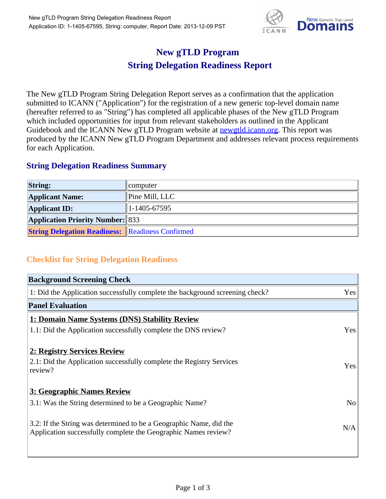

## **New gTLD Program String Delegation Readiness Report**

The New gTLD Program String Delegation Report serves as a confirmation that the application submitted to ICANN ("Application") for the registration of a new generic top-level domain name (hereafter referred to as "String") has completed all applicable phases of the New gTLD Program which included opportunities for input from relevant stakeholders as outlined in the Applicant Guidebook and the ICANN New gTLD Program website at **newgtld.jcann.org**. This report was produced by the ICANN New gTLD Program Department and addresses relevant process requirements for each Application.

## **String Delegation Readiness Summary**

| <b>String:</b>                                          | computer               |
|---------------------------------------------------------|------------------------|
| <b>Applicant Name:</b>                                  | $\vert$ Pine Mill, LLC |
| <b>Applicant ID:</b>                                    | $ 1-1405-67595 $       |
| <b>Application Priority Number: 833</b>                 |                        |
| <b>String Delegation Readiness: Readiness Confirmed</b> |                        |

## **Checklist for String Delegation Readiness**

| <b>Background Screening Check</b>                                                                                                    |                |
|--------------------------------------------------------------------------------------------------------------------------------------|----------------|
| 1: Did the Application successfully complete the background screening check?                                                         | Yes            |
| <b>Panel Evaluation</b>                                                                                                              |                |
| 1: Domain Name Systems (DNS) Stability Review                                                                                        |                |
| 1.1: Did the Application successfully complete the DNS review?                                                                       | Yes            |
| 2: Registry Services Review                                                                                                          |                |
| 2.1: Did the Application successfully complete the Registry Services<br>review?                                                      | Yes            |
| 3: Geographic Names Review                                                                                                           |                |
| 3.1: Was the String determined to be a Geographic Name?                                                                              | N <sub>o</sub> |
| 3.2: If the String was determined to be a Geographic Name, did the<br>Application successfully complete the Geographic Names review? | N/A            |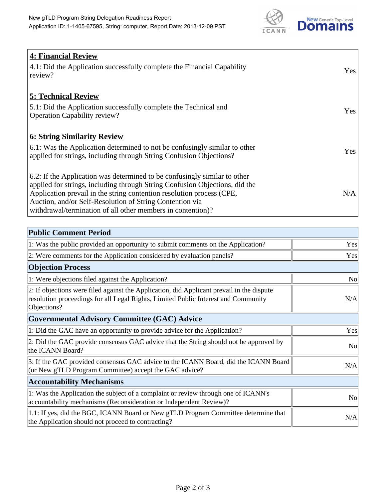

| <b>4: Financial Review</b><br>4.1: Did the Application successfully complete the Financial Capability<br>review?                                                                                                                                                                                                                                             | Yes |
|--------------------------------------------------------------------------------------------------------------------------------------------------------------------------------------------------------------------------------------------------------------------------------------------------------------------------------------------------------------|-----|
| <b>5: Technical Review</b><br>5.1: Did the Application successfully complete the Technical and<br><b>Operation Capability review?</b>                                                                                                                                                                                                                        | Yes |
| <u><b>6: String Similarity Review</b></u><br>6.1: Was the Application determined to not be confusingly similar to other<br>applied for strings, including through String Confusion Objections?                                                                                                                                                               | Yes |
| 6.2: If the Application was determined to be confusingly similar to other<br>applied for strings, including through String Confusion Objections, did the<br>Application prevail in the string contention resolution process (CPE,<br>Auction, and/or Self-Resolution of String Contention via<br>withdrawal/termination of all other members in contention)? | N/A |

| <b>Public Comment Period</b>                                                                                                                                                                   |           |
|------------------------------------------------------------------------------------------------------------------------------------------------------------------------------------------------|-----------|
| 1: Was the public provided an opportunity to submit comments on the Application?                                                                                                               | Yes       |
| 2: Were comments for the Application considered by evaluation panels?                                                                                                                          | Yes       |
| <b>Objection Process</b>                                                                                                                                                                       |           |
| 1: Were objections filed against the Application?                                                                                                                                              | <b>No</b> |
| 2: If objections were filed against the Application, did Applicant prevail in the dispute<br>resolution proceedings for all Legal Rights, Limited Public Interest and Community<br>Objections? | N/A       |
| Governmental Advisory Committee (GAC) Advice                                                                                                                                                   |           |
| 1: Did the GAC have an opportunity to provide advice for the Application?                                                                                                                      | Yes       |
| 2: Did the GAC provide consensus GAC advice that the String should not be approved by<br>the ICANN Board?                                                                                      | <b>No</b> |
| 3: If the GAC provided consensus GAC advice to the ICANN Board, did the ICANN Board<br>(or New gTLD Program Committee) accept the GAC advice?                                                  | N/A       |
| <b>Accountability Mechanisms</b>                                                                                                                                                               |           |
| 1: Was the Application the subject of a complaint or review through one of ICANN's<br>accountability mechanisms (Reconsideration or Independent Review)?                                       | <b>No</b> |
| 1.1: If yes, did the BGC, ICANN Board or New gTLD Program Committee determine that<br>the Application should not proceed to contracting?                                                       | N/A       |